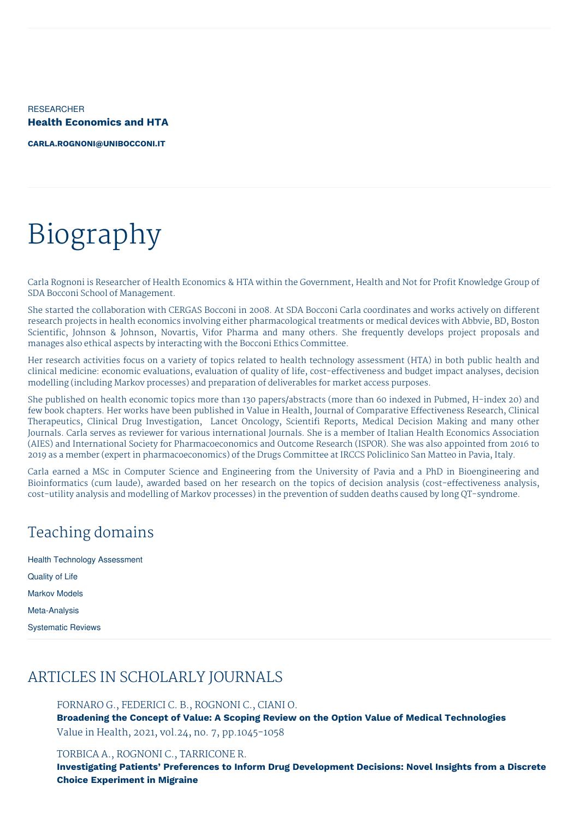RESEARCHER **Health Economics and HTA**

**[CARLA.ROGNONI@UNIBOCCONI.IT](mailto:carla.rognoni@unibocconi.it)**

# Biography

Carla Rognoni is Researcher of Health Economics & HTA within the Government, Health and Not for Profit Knowledge Group of SDA Bocconi School of Management.

She started the collaboration with CERGAS Bocconi in 2008. At SDA Bocconi Carla coordinates and works actively on different research projects in health economics involving either pharmacological treatments or medical devices with Abbvie, BD, Boston Scientific, Johnson & Johnson, Novartis, Vifor Pharma and many others. She frequently develops project proposals and manages also ethical aspects by interacting with the Bocconi Ethics Committee.

Her research activities focus on a variety of topics related to health technology assessment (HTA) in both public health and clinical medicine: economic evaluations, evaluation of quality of life, cost-effectiveness and budget impact analyses, decision modelling (including Markov processes) and preparation of deliverables for market access purposes.

She published on health economic topics more than 130 papers/abstracts (more than 60 indexed in Pubmed, H-index 20) and few book chapters. Her works have been published in Value in Health, Journal of Comparative Effectiveness Research, Clinical Therapeutics, Clinical Drug Investigation, Lancet Oncology, Scientifi Reports, Medical Decision Making and many other Journals. Carla serves as reviewer for various international Journals. She is a member of Italian Health Economics Association (AIES) and International Society for Pharmacoeconomics and Outcome Research (ISPOR). She was also appointed from 2016 to 2019 as a member (expert in pharmacoeconomics) of the Drugs Committee at IRCCS Policlinico San Matteo in Pavia, Italy.

Carla earned a MSc in Computer Science and Engineering from the University of Pavia and a PhD in Bioengineering and Bioinformatics (cum laude), awarded based on her research on the topics of decision analysis (cost-effectiveness analysis, cost-utility analysis and modelling of Markov processes) in the prevention of sudden deaths caused by long QT-syndrome.

## Teaching domains

| <b>Health Technology Assessment</b> |
|-------------------------------------|
| Quality of Life                     |
| <b>Markov Models</b>                |
| Meta-Analysis                       |
| <b>Systematic Reviews</b>           |

## ARTICLES IN SCHOLARLY JOURNALS

FORNARO G., FEDERICI C. B., ROGNONI C., CIANI O. **Broadening the Concept of Value: A Scoping Review on the Option Value of Medical Technologies** Value in Health, 2021, vol.24, no. 7, pp.1045-1058

#### TORBICA A., ROGNONI C., TARRICONE R.

**Investigating Patients' Preferences to Inform Drug Development Decisions: Novel Insights from a Discrete Choice Experiment in Migraine**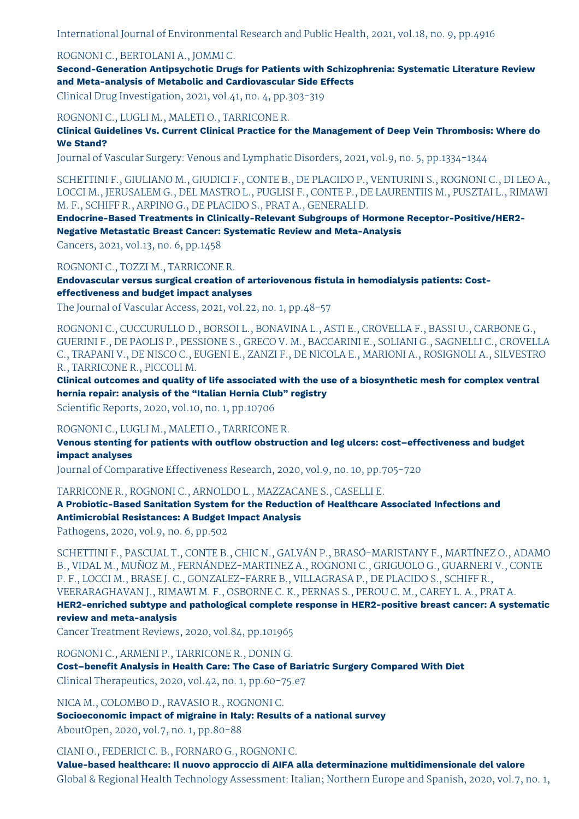International Journal of Environmental Research and Public Health, 2021, vol.18, no. 9, pp.4916

#### ROGNONI C., BERTOLANI A., JOMMI C.

**Second-Generation Antipsychotic Drugs for Patients with Schizophrenia: Systematic Literature Review and Meta-analysis of Metabolic and Cardiovascular Side Effects**

Clinical Drug Investigation, 2021, vol.41, no. 4, pp.303-319

ROGNONI C., LUGLI M., MALETI O., TARRICONE R.

**Clinical Guidelines Vs. Current Clinical Practice for the Management of Deep Vein Thrombosis: Where do We Stand?**

Journal of Vascular Surgery: Venous and Lymphatic Disorders, 2021, vol.9, no. 5, pp.1334-1344

SCHETTINI F., GIULIANO M., GIUDICI F., CONTE B., DE PLACIDO P., VENTURINI S., ROGNONI C., DI LEO A., LOCCI M., JERUSALEM G., DEL MASTRO L., PUGLISI F., CONTE P., DE LAURENTIIS M., PUSZTAI L., RIMAWI M. F., SCHIFF R., ARPINO G., DE PLACIDO S., PRAT A., GENERALI D.

**Endocrine-Based Treatments in Clinically-Relevant Subgroups of Hormone Receptor-Positive/HER2- Negative Metastatic Breast Cancer: Systematic Review and Meta-Analysis**

Cancers, 2021, vol.13, no. 6, pp.1458

ROGNONI C., TOZZI M., TARRICONE R.

**Endovascular versus surgical creation of arteriovenous fistula in hemodialysis patients: Costeffectiveness and budget impact analyses**

The Journal of Vascular Access, 2021, vol.22, no. 1, pp.48-57

ROGNONI C., CUCCURULLO D., BORSOI L., BONAVINA L., ASTI E., CROVELLA F., BASSI U., CARBONE G., GUERINI F., DE PAOLIS P., PESSIONE S., GRECO V. M., BACCARINI E., SOLIANI G., SAGNELLI C., CROVELLA C., TRAPANI V., DE NISCO C., EUGENI E., ZANZI F., DE NICOLA E., MARIONI A., ROSIGNOLI A., SILVESTRO R., TARRICONE R., PICCOLI M.

**Clinical outcomes and quality of life associated with the use of a biosynthetic mesh for complex ventral hernia repair: analysis of the "Italian Hernia Club" registry**

Scientific Reports, 2020, vol.10, no. 1, pp.10706

#### ROGNONI C., LUGLI M., MALETI O., TARRICONE R.

**Venous stenting for patients with outflow obstruction and leg ulcers: cost–effectiveness and budget impact analyses**

Journal of Comparative Effectiveness Research, 2020, vol.9, no. 10, pp.705-720

TARRICONE R., ROGNONI C., ARNOLDO L., MAZZACANE S., CASELLI E.

**A Probiotic-Based Sanitation System for the Reduction of Healthcare Associated Infections and Antimicrobial Resistances: A Budget Impact Analysis**

Pathogens, 2020, vol.9, no. 6, pp.502

SCHETTINI F., PASCUAL T., CONTE B., CHIC N., GALVÁN P., BRASÓ-MARISTANY F., MARTÍNEZ O., ADAMO B., VIDAL M., MUÑOZ M., FERNÁNDEZ-MARTINEZ A., ROGNONI C., GRIGUOLO G., GUARNERI V., CONTE P. F., LOCCI M., BRASE J. C., GONZALEZ-FARRE B., VILLAGRASA P., DE PLACIDO S., SCHIFF R., VEERARAGHAVAN J., RIMAWI M. F., OSBORNE C. K., PERNAS S., PEROU C. M., CAREY L. A., PRAT A. **HER2-enriched subtype and pathological complete response in HER2-positive breast cancer: A systematic review and meta-analysis**

Cancer Treatment Reviews, 2020, vol.84, pp.101965

ROGNONI C., ARMENI P., TARRICONE R., DONIN G.

**Cost–benefit Analysis in Health Care: The Case of Bariatric Surgery Compared With Diet** Clinical Therapeutics, 2020, vol.42, no. 1, pp.60-75.e7

NICA M., COLOMBO D., RAVASIO R., ROGNONI C.

**Socioeconomic impact of migraine in Italy: Results of a national survey** AboutOpen, 2020, vol.7, no. 1, pp.80-88

CIANI O., FEDERICI C. B., FORNARO G., ROGNONI C.

**Value-based healthcare: Il nuovo approccio di AIFA alla determinazione multidimensionale del valore** Global & Regional Health Technology Assessment: Italian; Northern Europe and Spanish, 2020, vol.7, no. 1,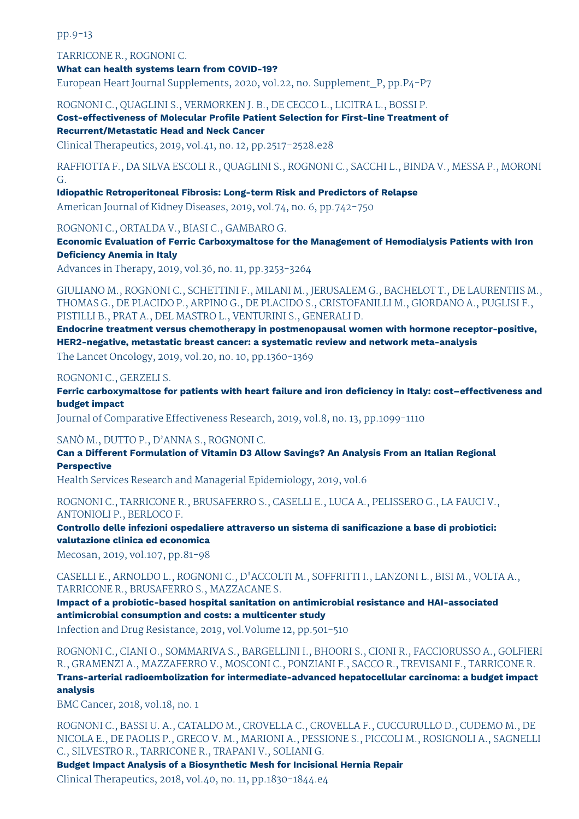pp.9-13

TARRICONE R., ROGNONI C.

**What can health systems learn from COVID-19?**

European Heart Journal Supplements, 2020, vol.22, no. Supplement\_P, pp.P4-P7

ROGNONI C., QUAGLINI S., VERMORKEN J. B., DE CECCO L., LICITRA L., BOSSI P.

**Cost-effectiveness of Molecular Profile Patient Selection for First-line Treatment of Recurrent/Metastatic Head and Neck Cancer**

Clinical Therapeutics, 2019, vol.41, no. 12, pp.2517-2528.e28

RAFFIOTTA F., DA SILVA ESCOLI R., QUAGLINI S., ROGNONI C., SACCHI L., BINDA V., MESSA P., MORONI G.

**Idiopathic Retroperitoneal Fibrosis: Long-term Risk and Predictors of Relapse**

American Journal of Kidney Diseases, 2019, vol.74, no. 6, pp.742-750

ROGNONI C., ORTALDA V., BIASI C., GAMBARO G.

**Economic Evaluation of Ferric Carboxymaltose for the Management of Hemodialysis Patients with Iron Deficiency Anemia in Italy**

Advances in Therapy, 2019, vol.36, no. 11, pp.3253-3264

GIULIANO M., ROGNONI C., SCHETTINI F., MILANI M., JERUSALEM G., BACHELOT T., DE LAURENTIIS M., THOMAS G., DE PLACIDO P., ARPINO G., DE PLACIDO S., CRISTOFANILLI M., GIORDANO A., PUGLISI F., PISTILLI B., PRAT A., DEL MASTRO L., VENTURINI S., GENERALI D.

**Endocrine treatment versus chemotherapy in postmenopausal women with hormone receptor-positive, HER2-negative, metastatic breast cancer: a systematic review and network meta-analysis**

The Lancet Oncology, 2019, vol.20, no. 10, pp.1360-1369

ROGNONI C., GERZELI S.

**Ferric carboxymaltose for patients with heart failure and iron deficiency in Italy: cost–effectiveness and budget impact**

Journal of Comparative Effectiveness Research, 2019, vol.8, no. 13, pp.1099-1110

SANÒ M., DUTTO P., D'ANNA S., ROGNONI C.

**Can a Different Formulation of Vitamin D3 Allow Savings? An Analysis From an Italian Regional Perspective**

Health Services Research and Managerial Epidemiology, 2019, vol.6

ROGNONI C., TARRICONE R., BRUSAFERRO S., CASELLI E., LUCA A., PELISSERO G., LA FAUCI V., ANTONIOLI P., BERLOCO F.

**Controllo delle infezioni ospedaliere attraverso un sistema di sanificazione a base di probiotici: valutazione clinica ed economica**

Mecosan, 2019, vol.107, pp.81-98

CASELLI E., ARNOLDO L., ROGNONI C., D'ACCOLTI M., SOFFRITTI I., LANZONI L., BISI M., VOLTA A., TARRICONE R., BRUSAFERRO S., MAZZACANE S.

**Impact of a probiotic-based hospital sanitation on antimicrobial resistance and HAI-associated antimicrobial consumption and costs: a multicenter study**

Infection and Drug Resistance, 2019, vol.Volume 12, pp.501-510

ROGNONI C., CIANI O., SOMMARIVA S., BARGELLINI I., BHOORI S., CIONI R., FACCIORUSSO A., GOLFIERI R., GRAMENZI A., MAZZAFERRO V., MOSCONI C., PONZIANI F., SACCO R., TREVISANI F., TARRICONE R. **Trans-arterial radioembolization for intermediate-advanced hepatocellular carcinoma: a budget impact analysis**

BMC Cancer, 2018, vol.18, no. 1

ROGNONI C., BASSI U. A., CATALDO M., CROVELLA C., CROVELLA F., CUCCURULLO D., CUDEMO M., DE NICOLA E., DE PAOLIS P., GRECO V. M., MARIONI A., PESSIONE S., PICCOLI M., ROSIGNOLI A., SAGNELLI C., SILVESTRO R., TARRICONE R., TRAPANI V., SOLIANI G.

**Budget Impact Analysis of a Biosynthetic Mesh for Incisional Hernia Repair** Clinical Therapeutics, 2018, vol.40, no. 11, pp.1830-1844.e4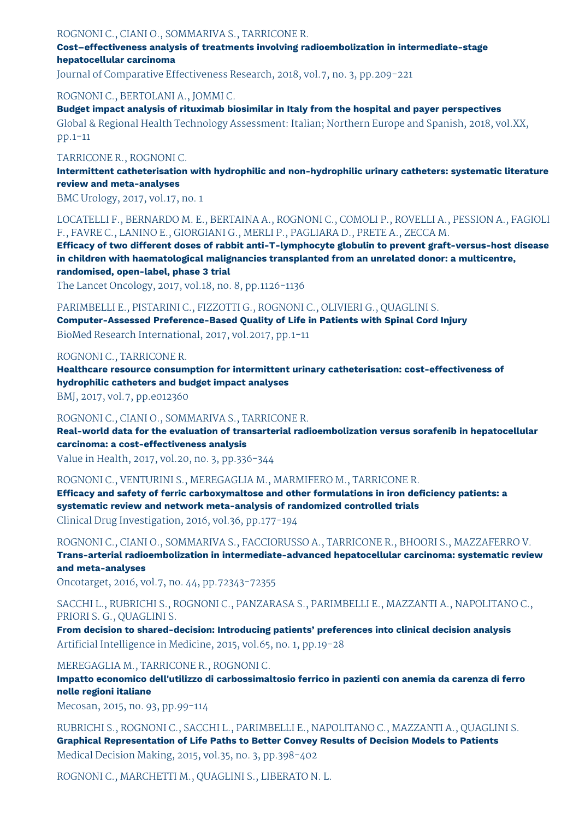#### ROGNONI C., CIANI O., SOMMARIVA S., TARRICONE R.

**Cost–effectiveness analysis of treatments involving radioembolization in intermediate-stage hepatocellular carcinoma**

Journal of Comparative Effectiveness Research, 2018, vol.7, no. 3, pp.209-221

#### ROGNONI C., BERTOLANI A., JOMMI C.

**Budget impact analysis of rituximab biosimilar in Italy from the hospital and payer perspectives** Global & Regional Health Technology Assessment: Italian; Northern Europe and Spanish, 2018, vol.XX, pp.1-11

#### TARRICONE R., ROGNONI C.

**Intermittent catheterisation with hydrophilic and non-hydrophilic urinary catheters: systematic literature review and meta-analyses**

BMC Urology, 2017, vol.17, no. 1

LOCATELLI F., BERNARDO M. E., BERTAINA A., ROGNONI C., COMOLI P., ROVELLI A., PESSION A., FAGIOLI F., FAVRE C., LANINO E., GIORGIANI G., MERLI P., PAGLIARA D., PRETE A., ZECCA M.

**Efficacy of two different doses of rabbit anti-T-lymphocyte globulin to prevent graft-versus-host disease in children with haematological malignancies transplanted from an unrelated donor: a multicentre, randomised, open-label, phase 3 trial**

The Lancet Oncology, 2017, vol.18, no. 8, pp.1126-1136

PARIMBELLI E., PISTARINI C., FIZZOTTI G., ROGNONI C., OLIVIERI G., QUAGLINI S.

**Computer-Assessed Preference-Based Quality of Life in Patients with Spinal Cord Injury** BioMed Research International, 2017, vol.2017, pp.1-11

#### ROGNONI C., TARRICONE R.

**Healthcare resource consumption for intermittent urinary catheterisation: cost-effectiveness of hydrophilic catheters and budget impact analyses**

BMJ, 2017, vol.7, pp.e012360

#### ROGNONI C., CIANI O., SOMMARIVA S., TARRICONE R.

**Real-world data for the evaluation of transarterial radioembolization versus sorafenib in hepatocellular carcinoma: a cost-effectiveness analysis**

Value in Health, 2017, vol.20, no. 3, pp.336-344

ROGNONI C., VENTURINI S., MEREGAGLIA M., MARMIFERO M., TARRICONE R.

**Efficacy and safety of ferric carboxymaltose and other formulations in iron deficiency patients: a systematic review and network meta-analysis of randomized controlled trials** Clinical Drug Investigation, 2016, vol.36, pp.177-194

ROGNONI C., CIANI O., SOMMARIVA S., FACCIORUSSO A., TARRICONE R., BHOORI S., MAZZAFERRO V. **Trans-arterial radioembolization in intermediate-advanced hepatocellular carcinoma: systematic review and meta-analyses**

Oncotarget, 2016, vol.7, no. 44, pp.72343-72355

SACCHI L., RUBRICHI S., ROGNONI C., PANZARASA S., PARIMBELLI E., MAZZANTI A., NAPOLITANO C., PRIORI S. G., QUAGLINI S.

**From decision to shared-decision: Introducing patients' preferences into clinical decision analysis** Artificial Intelligence in Medicine, 2015, vol.65, no. 1, pp.19-28

MEREGAGLIA M., TARRICONE R., ROGNONI C.

**Impatto economico dell'utilizzo di carbossimaltosio ferrico in pazienti con anemia da carenza di ferro nelle regioni italiane**

Mecosan, 2015, no. 93, pp.99-114

RUBRICHI S., ROGNONI C., SACCHI L., PARIMBELLI E., NAPOLITANO C., MAZZANTI A., QUAGLINI S. **Graphical Representation of Life Paths to Better Convey Results of Decision Models to Patients** Medical Decision Making, 2015, vol.35, no. 3, pp.398-402

ROGNONI C., MARCHETTI M., QUAGLINI S., LIBERATO N. L.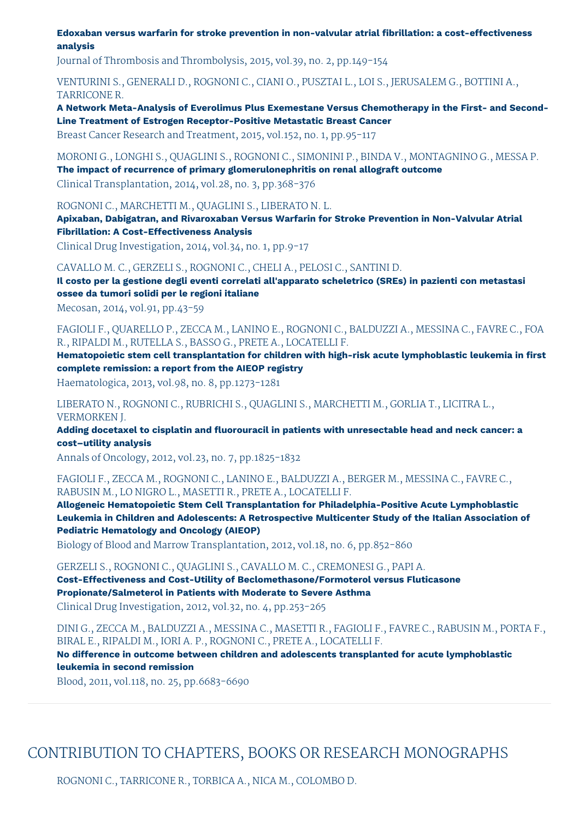**Edoxaban versus warfarin for stroke prevention in non-valvular atrial fibrillation: a cost-effectiveness analysis**

Journal of Thrombosis and Thrombolysis, 2015, vol.39, no. 2, pp.149-154

VENTURINI S., GENERALI D., ROGNONI C., CIANI O., PUSZTAI L., LOI S., JERUSALEM G., BOTTINI A., TARRICONE R.

**A Network Meta-Analysis of Everolimus Plus Exemestane Versus Chemotherapy in the First- and Second-Line Treatment of Estrogen Receptor-Positive Metastatic Breast Cancer**

Breast Cancer Research and Treatment, 2015, vol.152, no. 1, pp.95-117

MORONI G., LONGHI S., QUAGLINI S., ROGNONI C., SIMONINI P., BINDA V., MONTAGNINO G., MESSA P. **The impact of recurrence of primary glomerulonephritis on renal allograft outcome** Clinical Transplantation, 2014, vol.28, no. 3, pp.368-376

ROGNONI C., MARCHETTI M., QUAGLINI S., LIBERATO N. L.

**Apixaban, Dabigatran, and Rivaroxaban Versus Warfarin for Stroke Prevention in Non-Valvular Atrial Fibrillation: A Cost-Effectiveness Analysis**

Clinical Drug Investigation, 2014, vol.34, no. 1, pp.9-17

CAVALLO M. C., GERZELI S., ROGNONI C., CHELI A., PELOSI C., SANTINI D.

**Il costo per la gestione degli eventi correlati all'apparato scheletrico (SREs) in pazienti con metastasi ossee da tumori solidi per le regioni italiane**

Mecosan, 2014, vol.91, pp.43-59

FAGIOLI F., QUARELLO P., ZECCA M., LANINO E., ROGNONI C., BALDUZZI A., MESSINA C., FAVRE C., FOA R., RIPALDI M., RUTELLA S., BASSO G., PRETE A., LOCATELLI F.

**Hematopoietic stem cell transplantation for children with high-risk acute lymphoblastic leukemia in first complete remission: a report from the AIEOP registry**

Haematologica, 2013, vol.98, no. 8, pp.1273-1281

LIBERATO N., ROGNONI C., RUBRICHI S., QUAGLINI S., MARCHETTI M., GORLIA T., LICITRA L., VERMORKEN J.

**Adding docetaxel to cisplatin and fluorouracil in patients with unresectable head and neck cancer: a cost–utility analysis**

Annals of Oncology, 2012, vol.23, no. 7, pp.1825-1832

FAGIOLI F., ZECCA M., ROGNONI C., LANINO E., BALDUZZI A., BERGER M., MESSINA C., FAVRE C., RABUSIN M., LO NIGRO L., MASETTI R., PRETE A., LOCATELLI F.

**Allogeneic Hematopoietic Stem Cell Transplantation for Philadelphia-Positive Acute Lymphoblastic Leukemia in Children and Adolescents: A Retrospective Multicenter Study of the Italian Association of Pediatric Hematology and Oncology (AIEOP)**

Biology of Blood and Marrow Transplantation, 2012, vol.18, no. 6, pp.852-860

GERZELI S., ROGNONI C., QUAGLINI S., CAVALLO M. C., CREMONESI G., PAPI A.

**Cost-Effectiveness and Cost-Utility of Beclomethasone/Formoterol versus Fluticasone Propionate/Salmeterol in Patients with Moderate to Severe Asthma** Clinical Drug Investigation, 2012, vol.32, no. 4, pp.253-265

DINI G., ZECCA M., BALDUZZI A., MESSINA C., MASETTI R., FAGIOLI F., FAVRE C., RABUSIN M., PORTA F., BIRAL E., RIPALDI M., IORI A. P., ROGNONI C., PRETE A., LOCATELLI F.

**No difference in outcome between children and adolescents transplanted for acute lymphoblastic leukemia in second remission**

Blood, 2011, vol.118, no. 25, pp.6683-6690

## CONTRIBUTION TO CHAPTERS, BOOKS OR RESEARCH MONOGRAPHS

ROGNONI C., TARRICONE R., TORBICA A., NICA M., COLOMBO D.